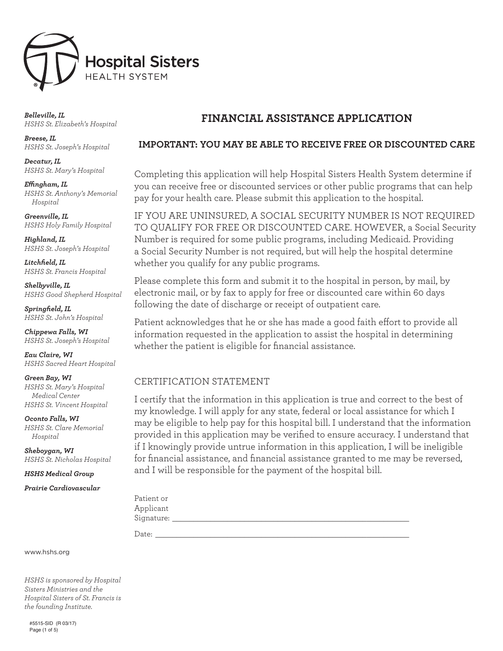

*Belleville, IL HSHS St. Elizabeth's Hospital*

*Breese, IL HSHS St. Joseph's Hospital*

*Decatur, IL HSHS St. Mary's Hospital*

*Effingham, IL HSHS St. Anthony's Memorial Hospital*

*Greenville, IL HSHS Holy Family Hospital*

*Highland, IL HSHS St. Joseph's Hospital*

*Litchfield, IL HSHS St. Francis Hospital*

*Shelbyville, IL HSHS Good Shepherd Hospital*

*Springfield, IL HSHS St. John's Hospital*

*Chippewa Falls, WI HSHS St. Joseph's Hospital*

*Eau Claire, WI HSHS Sacred Heart Hospital*

*Green Bay, WI HSHS St. Mary's Hospital Medical Center HSHS St. Vincent Hospital*

*Oconto Falls, WI HSHS St. Clare Memorial Hospital*

*Sheboygan, WI HSHS St. Nicholas Hospital*

*HSHS Medical Group*

*Prairie Cardiovascular*

## **FINANCIAL ASSISTANCE APPLICATION**

## **IMPORTANT: YOU MAY BE ABLE TO RECEIVE FREE OR DISCOUNTED CARE**

Completing this application will help Hospital Sisters Health System determine if you can receive free or discounted services or other public programs that can help pay for your health care. Please submit this application to the hospital.

IF YOU ARE UNINSURED, A SOCIAL SECURITY NUMBER IS NOT REQUIRED TO QUALIFY FOR FREE OR DISCOUNTED CARE. HOWEVER, a Social Security Number is required for some public programs, including Medicaid. Providing a Social Security Number is not required, but will help the hospital determine whether you qualify for any public programs.

Please complete this form and submit it to the hospital in person, by mail, by electronic mail, or by fax to apply for free or discounted care within 60 days following the date of discharge or receipt of outpatient care.

Patient acknowledges that he or she has made a good faith effort to provide all information requested in the application to assist the hospital in determining whether the patient is eligible for financial assistance.

## CERTIFICATION STATEMENT

I certify that the information in this application is true and correct to the best of my knowledge. I will apply for any state, federal or local assistance for which I may be eligible to help pay for this hospital bill. I understand that the information provided in this application may be verified to ensure accuracy. I understand that if I knowingly provide untrue information in this application, I will be ineligible for financial assistance, and financial assistance granted to me may be reversed, and I will be responsible for the payment of the hospital bill.

| Patient or |  |  |  |
|------------|--|--|--|
| Applicant  |  |  |  |
| Signature: |  |  |  |
|            |  |  |  |

Date: \_\_\_\_\_\_\_\_\_\_\_\_\_\_\_\_\_\_\_\_\_\_\_\_\_\_\_\_\_\_\_\_\_\_\_\_\_\_\_\_\_\_\_\_\_\_\_\_\_\_\_\_\_\_\_\_\_\_\_\_

www.hshs.org

*HSHS is sponsored by Hospital Sisters Ministries and the Hospital Sisters of St. Francis is the founding Institute.*

#5515-SID (R 03/17) Page (1 of 5)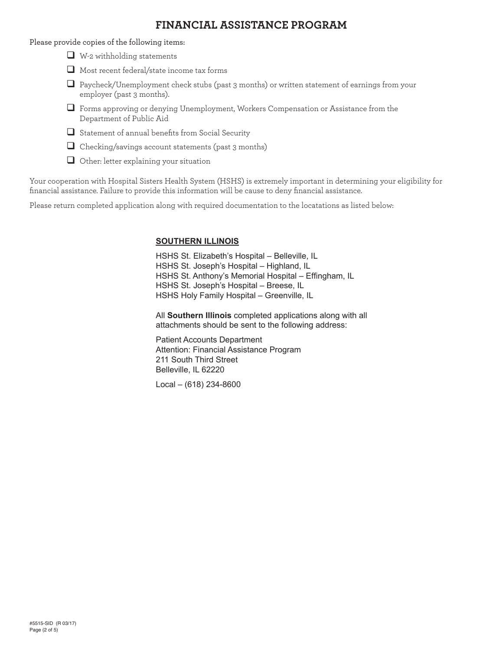## **FINANCIAL ASSISTANCE PROGRAM**

Please provide copies of the following items:

- $\Box$  W-2 withholding statements
- Most recent federal/state income tax forms
- $\Box$  Paycheck/Unemployment check stubs (past 3 months) or written statement of earnings from your employer (past 3 months).
- $\Box$  Forms approving or denying Unemployment, Workers Compensation or Assistance from the Department of Public Aid
- $\Box$  Statement of annual benefits from Social Security
- $\Box$  Checking/savings account statements (past 3 months)
- $\Box$  Other: letter explaining your situation

Your cooperation with Hospital Sisters Health System (HSHS) is extremely important in determining your eligibility for financial assistance. Failure to provide this information will be cause to deny financial assistance.

Please return completed application along with required documentation to the locatations as listed below:

## **SOUTHERN ILLINOIS**

HSHS St. Elizabeth's Hospital – Belleville, IL HSHS St. Joseph's Hospital – Highland, IL HSHS St. Anthony's Memorial Hospital – Effingham, IL HSHS St. Joseph's Hospital – Breese, IL HSHS Holy Family Hospital – Greenville, IL

All **Southern Illinois** completed applications along with all attachments should be sent to the following address:

Patient Accounts Department Attention: Financial Assistance Program 211 South Third Street Belleville, IL 62220

Local – (618) 234-8600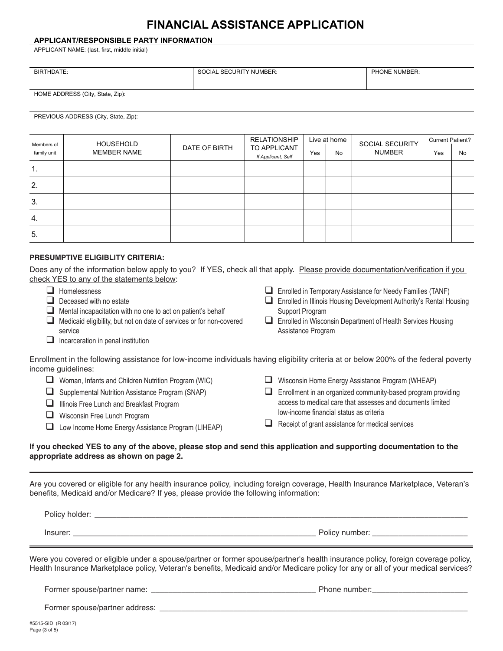# **FINANCIAL ASSISTANCE APPLICATION**

### **APPLICANT/RESPONSIBLE PARTY INFORMATION**

APPLICANT NAME: (last, first, middle initial)

| <b>BIRTHDATE:</b> | L SECURITY NUMBER:<br>וחי<br>$\cdot$ , $\cup$ in $\vdash$ . | PHONE NUMBER: |
|-------------------|-------------------------------------------------------------|---------------|
|                   |                                                             |               |

HOME ADDRESS (City, State, Zip):

#### PREVIOUS ADDRESS (City, State, Zip):

| Members of  | <b>HOUSEHOLD</b>   |               | <b>RELATIONSHIP</b>                |     | Live at home | SOCIAL SECURITY | <b>Current Patient?</b> |    |
|-------------|--------------------|---------------|------------------------------------|-----|--------------|-----------------|-------------------------|----|
| family unit | <b>MEMBER NAME</b> | DATE OF BIRTH | TO APPLICANT<br>If Applicant, Self | Yes | <b>No</b>    | <b>NUMBER</b>   | Yes                     | No |
| 1.          |                    |               |                                    |     |              |                 |                         |    |
| 2.          |                    |               |                                    |     |              |                 |                         |    |
| 3.          |                    |               |                                    |     |              |                 |                         |    |
| 4.          |                    |               |                                    |     |              |                 |                         |    |
| 5.          |                    |               |                                    |     |              |                 |                         |    |

#### **PRESUMPTIVE ELIGIBLITY CRITERIA: PRESUMPTIVE ELIGIBILITY CRITERIA:** PRESUMPTIVE ELIGIBLITY CRITERIA:

| Does any of the information below apply to you? If YES, check all that apply. Please provide documentation/verification if you |  |  |
|--------------------------------------------------------------------------------------------------------------------------------|--|--|
| check YES to any of the statements below:                                                                                      |  |  |

|   | Homelessness<br>Deceased with no estate<br>Mental incapacitation with no one to act on patient's behalf<br>Medicaid eligibility, but not on date of services or for non-covered<br>service<br>Incarceration in penal institution | ப | Enrolled in Temporary Assistance for Needy Families (TANF)<br>Enrolled in Illinois Housing Development Authority's Rental Housing<br>Support Program<br>Enrolled in Wisconsin Department of Health Services Housing<br>Assistance Program |
|---|----------------------------------------------------------------------------------------------------------------------------------------------------------------------------------------------------------------------------------|---|-------------------------------------------------------------------------------------------------------------------------------------------------------------------------------------------------------------------------------------------|
|   | Enrollment in the following assistance for low-income individuals having eligibility criteria at or below 200% of the federal poverty<br>income guidelines:                                                                      |   |                                                                                                                                                                                                                                           |
| ⊔ | Woman, Infants and Children Nutrition Program (WIC)                                                                                                                                                                              |   | Wisconsin Home Energy Assistance Program (WHEAP)                                                                                                                                                                                          |
| ⊔ | Supplemental Nutrition Assistance Program (SNAP)                                                                                                                                                                                 |   | Enrollment in an organized community-based program providing<br>access to medical care that assesses and documents limited                                                                                                                |
|   | Illinois Free Lunch and Breakfast Program                                                                                                                                                                                        |   | low-income financial status as criteria                                                                                                                                                                                                   |
|   | Wisconsin Free Lunch Program                                                                                                                                                                                                     |   | Receipt of grant assistance for medical services                                                                                                                                                                                          |
|   | Low Income Home Energy Assistance Program (LIHEAP)                                                                                                                                                                               |   |                                                                                                                                                                                                                                           |
|   | If you checked YES to any of the above, please stop and send this application and supporting documentation to the<br>appropriate address as shown on page 2.                                                                     |   |                                                                                                                                                                                                                                           |
|   | Are you covered or eligible for any health insurance policy, including foreign coverage, Health Insurance Marketplace, Veteran's<br>benefits, Medicaid and/or Medicare? If yes, please provide the following information:        |   |                                                                                                                                                                                                                                           |

| Policy holder: |                |
|----------------|----------------|
| Insurer        | Policy number: |

Were you covered or eligible under a spouse/partner or former spouse/partner's health insurance policy, foreign coverage policy, Health Insurance Marketplace policy, Veteran's benefits, Medicaid and/or Medicare policy for any or all of your medical services?

Former spouse/partner name: \_\_\_\_\_\_\_\_\_\_\_\_\_\_\_\_\_\_\_\_\_\_\_\_\_\_\_\_\_\_\_\_\_\_\_\_\_\_ Phone number:\_\_\_\_\_\_\_\_\_\_\_\_\_\_\_\_\_\_\_\_\_\_

Former spouse/partner address: \_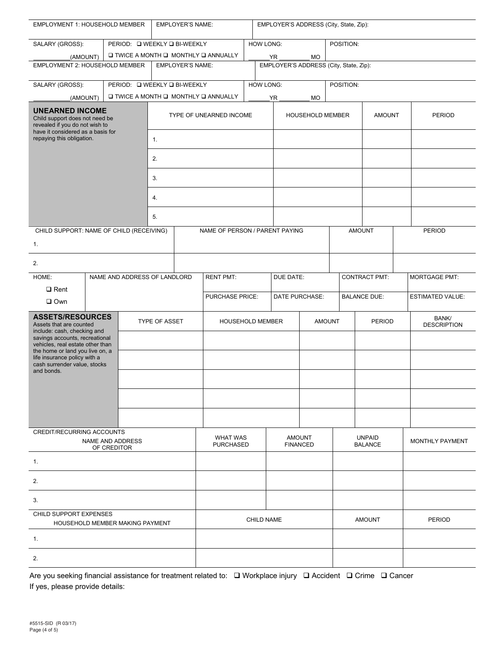| <b>EMPLOYER'S NAME:</b><br>EMPLOYMENT 1: HOUSEHOLD MEMBER                                                                            |  |                              |                                          | EMPLOYER'S ADDRESS (City, State, Zip): |                                                         |                 |                                        |                             |               |                         |               |               |
|--------------------------------------------------------------------------------------------------------------------------------------|--|------------------------------|------------------------------------------|----------------------------------------|---------------------------------------------------------|-----------------|----------------------------------------|-----------------------------|---------------|-------------------------|---------------|---------------|
| SALARY (GROSS):                                                                                                                      |  | PERIOD: Q WEEKLY Q BI-WEEKLY |                                          |                                        | <b>HOW LONG:</b>                                        |                 |                                        | POSITION:                   |               |                         |               |               |
| (AMOUNT)                                                                                                                             |  |                              |                                          |                                        | <b>Q TWICE A MONTH Q MONTHLY Q ANNUALLY</b><br>YR<br>MO |                 |                                        |                             |               |                         |               |               |
| EMPLOYMENT 2: HOUSEHOLD MEMBER<br><b>EMPLOYER'S NAME:</b>                                                                            |  |                              |                                          |                                        |                                                         |                 | EMPLOYER'S ADDRESS (City, State, Zip): |                             |               |                         |               |               |
| SALARY (GROSS):                                                                                                                      |  | PERIOD: □ WEEKLY □ BI-WEEKLY |                                          |                                        |                                                         | HOW LONG:       |                                        |                             | POSITION:     |                         |               |               |
| (AMOUNT)                                                                                                                             |  |                              |                                          |                                        | <b>Q TWICE A MONTH Q MONTHLY Q ANNUALLY</b>             |                 | <b>YR</b>                              | MO                          |               |                         |               |               |
| <b>UNEARNED INCOME</b><br>Child support does not need be<br>revealed if you do not wish to                                           |  |                              |                                          |                                        | TYPE OF UNEARNED INCOME<br><b>HOUSEHOLD MEMBER</b>      |                 |                                        |                             | <b>AMOUNT</b> |                         | <b>PERIOD</b> |               |
| have it considered as a basis for<br>repaying this obligation.                                                                       |  |                              | 1.                                       |                                        |                                                         |                 |                                        |                             |               |                         |               |               |
|                                                                                                                                      |  |                              | 2.                                       |                                        |                                                         |                 |                                        |                             |               |                         |               |               |
|                                                                                                                                      |  |                              | 3.                                       |                                        |                                                         |                 |                                        |                             |               |                         |               |               |
|                                                                                                                                      |  |                              | 4.                                       |                                        |                                                         |                 |                                        |                             |               |                         |               |               |
|                                                                                                                                      |  |                              |                                          |                                        |                                                         |                 |                                        |                             |               |                         |               |               |
|                                                                                                                                      |  |                              | 5.                                       |                                        |                                                         |                 |                                        |                             |               |                         |               |               |
| CHILD SUPPORT: NAME OF CHILD (RECEIVING)<br>1.                                                                                       |  |                              |                                          |                                        | NAME OF PERSON / PARENT PAYING                          |                 |                                        |                             |               | <b>AMOUNT</b>           |               | <b>PERIOD</b> |
| 2.                                                                                                                                   |  |                              |                                          |                                        |                                                         |                 |                                        |                             |               |                         |               |               |
| HOME:<br>NAME AND ADDRESS OF LANDLORD                                                                                                |  |                              |                                          | <b>RENT PMT:</b><br>DUE DATE:          |                                                         |                 |                                        | <b>CONTRACT PMT:</b>        |               | <b>MORTGAGE PMT:</b>    |               |               |
| $\square$ Rent                                                                                                                       |  |                              |                                          |                                        |                                                         |                 |                                        |                             |               |                         |               |               |
| $\square$ Own                                                                                                                        |  |                              |                                          | PURCHASE PRICE:<br>DATE PURCHASE:      |                                                         |                 |                                        | <b>BALANCE DUE:</b>         |               | <b>ESTIMATED VALUE:</b> |               |               |
| <b>ASSETS/RESOURCES</b><br>TYPE OF ASSET<br>Assets that are counted<br>include: cash, checking and<br>savings accounts, recreational |  |                              | <b>AMOUNT</b><br><b>HOUSEHOLD MEMBER</b> |                                        | <b>PERIOD</b>                                           |                 |                                        | BANK/<br><b>DESCRIPTION</b> |               |                         |               |               |
| vehicles, real estate other than<br>the home or land you live on, a<br>life insurance policy with a                                  |  |                              |                                          |                                        |                                                         |                 |                                        |                             |               |                         |               |               |
| cash surrender value, stocks<br>and bonds.                                                                                           |  |                              |                                          |                                        |                                                         |                 |                                        |                             |               |                         |               |               |
|                                                                                                                                      |  |                              |                                          |                                        |                                                         |                 |                                        |                             |               |                         |               |               |
|                                                                                                                                      |  |                              |                                          |                                        |                                                         |                 |                                        |                             |               |                         |               |               |
|                                                                                                                                      |  |                              |                                          |                                        |                                                         |                 |                                        |                             |               |                         |               |               |
| CREDIT/RECURRING ACCOUNTS<br>NAME AND ADDRESS                                                                                        |  |                              |                                          | <b>WHAT WAS</b>                        | <b>AMOUNT</b>                                           |                 | <b>UNPAID</b>                          |                             |               | <b>MONTHLY PAYMENT</b>  |               |               |
| OF CREDITOR                                                                                                                          |  |                              |                                          | <b>PURCHASED</b>                       |                                                         | <b>FINANCED</b> |                                        | <b>BALANCE</b>              |               |                         |               |               |
| 1.                                                                                                                                   |  |                              |                                          |                                        |                                                         |                 |                                        |                             |               |                         |               |               |
| 2.                                                                                                                                   |  |                              |                                          |                                        |                                                         |                 |                                        |                             |               |                         |               |               |
| 3.                                                                                                                                   |  |                              |                                          |                                        |                                                         |                 |                                        |                             |               |                         |               |               |
| CHILD SUPPORT EXPENSES<br>HOUSEHOLD MEMBER MAKING PAYMENT                                                                            |  |                              |                                          | <b>CHILD NAME</b>                      |                                                         |                 | <b>AMOUNT</b>                          |                             |               | <b>PERIOD</b>           |               |               |
| 1.                                                                                                                                   |  |                              |                                          |                                        |                                                         |                 |                                        |                             |               |                         |               |               |
| 2.                                                                                                                                   |  |                              |                                          |                                        |                                                         |                 |                                        |                             |               |                         |               |               |

Are you seeking financial assistance for treatment related to:  $\Box$  Workplace injury  $\Box$  Accident  $\Box$  Crime  $\Box$  Cancer If yes, please provide details: